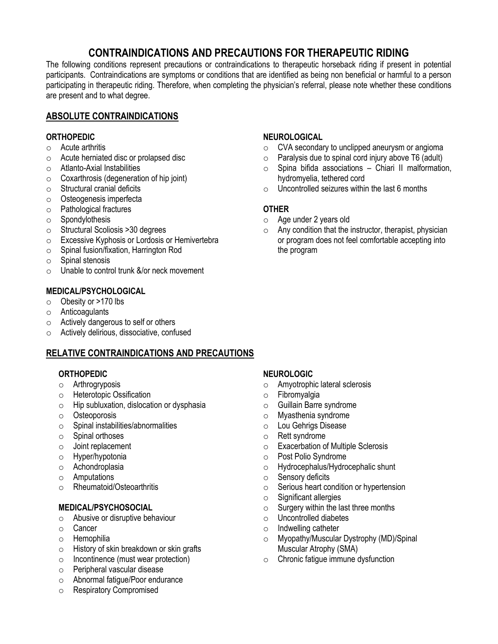# **CONTRAINDICATIONS AND PRECAUTIONS FOR THERAPEUTIC RIDING**

The following conditions represent precautions or contraindications to therapeutic horseback riding if present in potential participants. Contraindications are symptoms or conditions that are identified as being non beneficial or harmful to a person participating in therapeutic riding. Therefore, when completing the physician's referral, please note whether these conditions are present and to what degree.

## **ABSOLUTE CONTRAINDICATIONS**

#### **ORTHOPEDIC**

- o Acute arthritis
- o Acute herniated disc or prolapsed disc
- o Atlanto-Axial Instabilities
- o Coxarthrosis (degeneration of hip joint)
- $\circ$  Structural cranial deficits
- o Osteogenesis imperfecta
- o Pathological fractures
- o Spondylothesis
- o Structural Scoliosis >30 degrees
- o Excessive Kyphosis or Lordosis or Hemivertebra
- o Spinal fusion/fixation, Harrington Rod
- o Spinal stenosis
- $\circ$  Unable to control trunk  $\&\/$  or neck movement

#### **MEDICAL/PSYCHOLOGICAL**

- o Obesity or >170 lbs
- o Anticoagulants
- o Actively dangerous to self or others
- o Actively delirious, dissociative, confused

## **RELATIVE CONTRAINDICATIONS AND PRECAUTIONS**

#### **ORTHOPEDIC**

- o Arthrogryposis
- o Heterotopic Ossification
- o Hip subluxation, dislocation or dysphasia
- o Osteoporosis
- o Spinal instabilities/abnormalities
- o Spinal orthoses
- o Joint replacement
- o Hyper/hypotonia
- o Achondroplasia
- o Amputations
- o Rheumatoid/Osteoarthritis

#### **MEDICAL/PSYCHOSOCIAL**

- o Abusive or disruptive behaviour
- o Cancer
- o Hemophilia
- o History of skin breakdown or skin grafts
- o Incontinence (must wear protection)
- o Peripheral vascular disease
- o Abnormal fatigue/Poor endurance
- o Respiratory Compromised

### **NEUROLOGICAL**

- o CVA secondary to unclipped aneurysm or angioma
- o Paralysis due to spinal cord injury above T6 (adult)
- o Spina bifida associations Chiari II malformation, hydromyelia, tethered cord
- $\circ$  Uncontrolled seizures within the last 6 months

## **OTHER**

- o Age under 2 years old
- o Any condition that the instructor, therapist, physician or program does not feel comfortable accepting into the program

#### **NEUROLOGIC**

- o Amyotrophic lateral sclerosis
- o Fibromyalgia
- o Guillain Barre syndrome
- o Myasthenia syndrome
- o Lou Gehrigs Disease
- o Rett syndrome
- o Exacerbation of Multiple Sclerosis
- o Post Polio Syndrome
- o Hydrocephalus/Hydrocephalic shunt
- o Sensory deficits
- o Serious heart condition or hypertension
- $\circ$  Significant allergies
- o Surgery within the last three months
- o Uncontrolled diabetes
- o Indwelling catheter
- o Myopathy/Muscular Dystrophy (MD)/Spinal Muscular Atrophy (SMA)
- o Chronic fatigue immune dysfunction